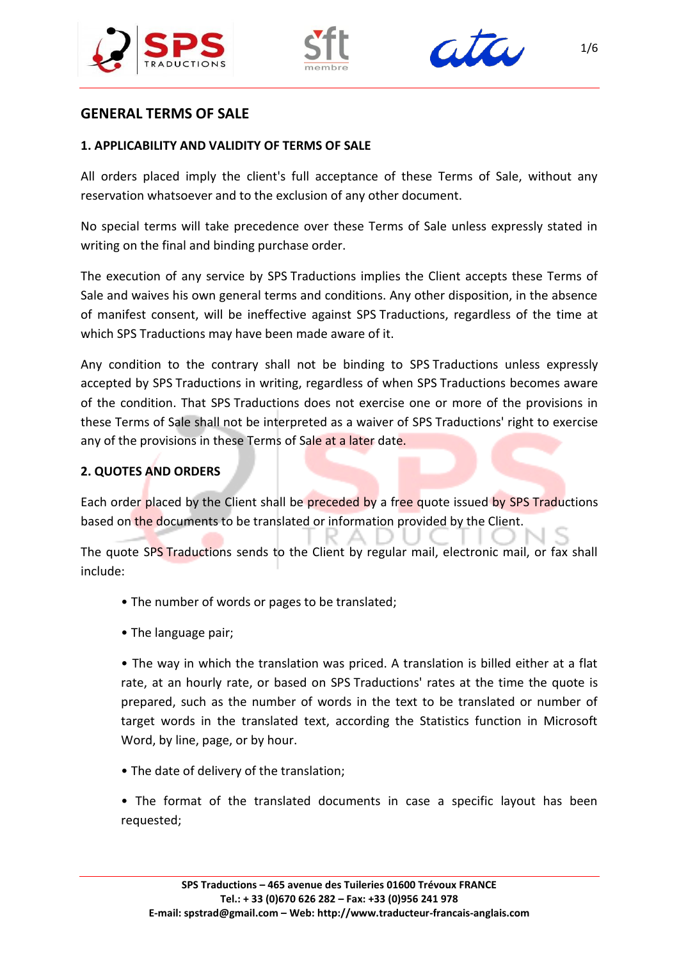





# **GENERAL TERMS OF SALE**

### **1. APPLICABILITY AND VALIDITY OF TERMS OF SALE**

All orders placed imply the client's full acceptance of these Terms of Sale, without any reservation whatsoever and to the exclusion of any other document.

No special terms will take precedence over these Terms of Sale unless expressly stated in writing on the final and binding purchase order.

The execution of any service by SPS Traductions implies the Client accepts these Terms of Sale and waives his own general terms and conditions. Any other disposition, in the absence of manifest consent, will be ineffective against SPS Traductions, regardless of the time at which SPS Traductions may have been made aware of it.

Any condition to the contrary shall not be binding to SPS Traductions unless expressly accepted by SPS Traductions in writing, regardless of when SPS Traductions becomes aware of the condition. That SPS Traductions does not exercise one or more of the provisions in these Terms of Sale shall not be interpreted as a waiver of SPS Traductions' right to exercise any of the provisions in these Terms of Sale at a later date.

## **2. QUOTES AND ORDERS**

Each order placed by the Client shall be preceded by a free quote issued by SPS Traductions based on the documents to be translated or information provided by the Client.

The quote SPS Traductions sends to the Client by regular mail, electronic mail, or fax shall include:

- The number of words or pages to be translated;
- The language pair;

• The way in which the translation was priced. A translation is billed either at a flat rate, at an hourly rate, or based on SPS Traductions' rates at the time the quote is prepared, such as the number of words in the text to be translated or number of target words in the translated text, according the Statistics function in Microsoft Word, by line, page, or by hour.

• The date of delivery of the translation;

• The format of the translated documents in case a specific layout has been requested;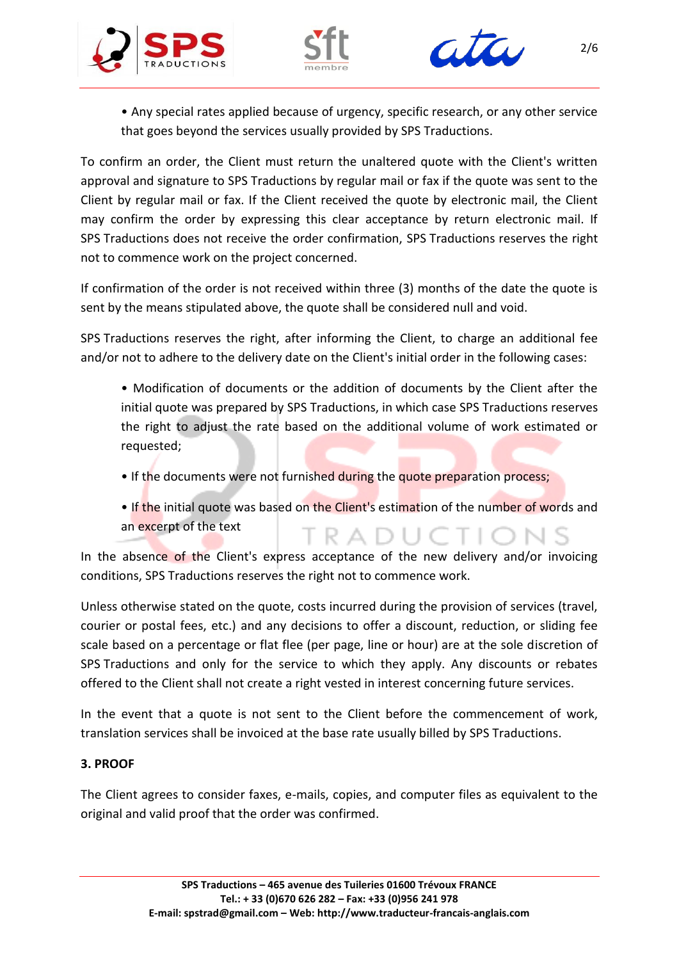





• Any special rates applied because of urgency, specific research, or any other service that goes beyond the services usually provided by SPS Traductions.

To confirm an order, the Client must return the unaltered quote with the Client's written approval and signature to SPS Traductions by regular mail or fax if the quote was sent to the Client by regular mail or fax. If the Client received the quote by electronic mail, the Client may confirm the order by expressing this clear acceptance by return electronic mail. If SPS Traductions does not receive the order confirmation, SPS Traductions reserves the right not to commence work on the project concerned.

If confirmation of the order is not received within three (3) months of the date the quote is sent by the means stipulated above, the quote shall be considered null and void.

SPS Traductions reserves the right, after informing the Client, to charge an additional fee and/or not to adhere to the delivery date on the Client's initial order in the following cases:

- Modification of documents or the addition of documents by the Client after the initial quote was prepared by SPS Traductions, in which case SPS Traductions reserves the right to adjust the rate based on the additional volume of work estimated or requested;
- If the documents were not furnished during the quote preparation process;
- If the initial quote was based on the Client's estimation of the number of words and an excerpt of the text **TRADUCTIONS**

In the absence of the Client's express acceptance of the new delivery and/or invoicing conditions, SPS Traductions reserves the right not to commence work.

Unless otherwise stated on the quote, costs incurred during the provision of services (travel, courier or postal fees, etc.) and any decisions to offer a discount, reduction, or sliding fee scale based on a percentage or flat flee (per page, line or hour) are at the sole discretion of SPS Traductions and only for the service to which they apply. Any discounts or rebates offered to the Client shall not create a right vested in interest concerning future services.

In the event that a quote is not sent to the Client before the commencement of work, translation services shall be invoiced at the base rate usually billed by SPS Traductions.

# **3. PROOF**

The Client agrees to consider faxes, e-mails, copies, and computer files as equivalent to the original and valid proof that the order was confirmed.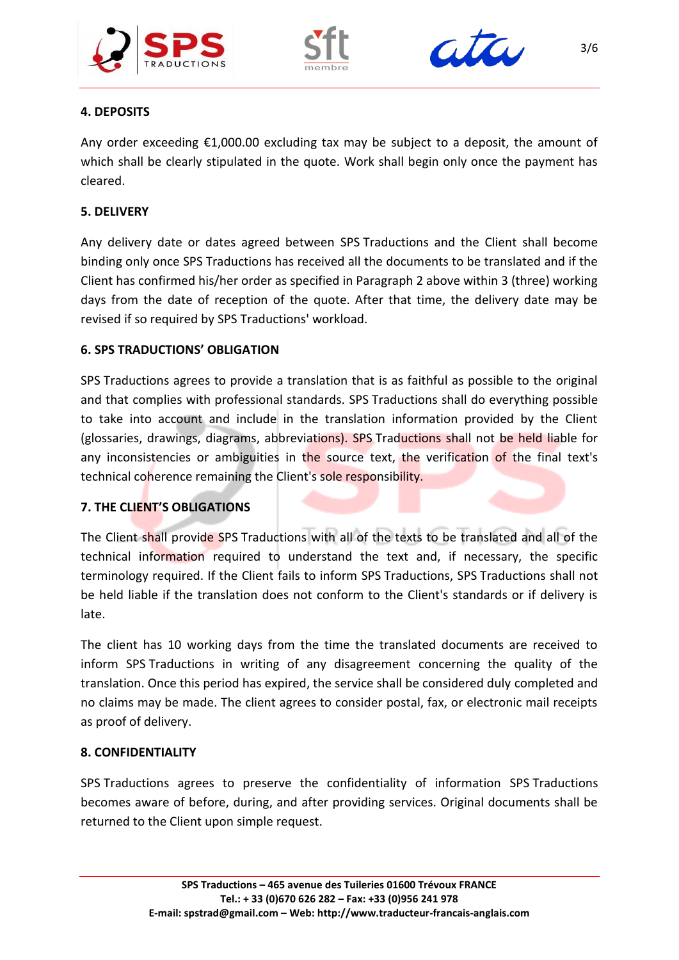





# **4. DEPOSITS**

Any order exceeding  $£1,000.00$  excluding tax may be subject to a deposit, the amount of which shall be clearly stipulated in the quote. Work shall begin only once the payment has cleared.

### **5. DELIVERY**

Any delivery date or dates agreed between SPS Traductions and the Client shall become binding only once SPS Traductions has received all the documents to be translated and if the Client has confirmed his/her order as specified in Paragraph 2 above within 3 (three) working days from the date of reception of the quote. After that time, the delivery date may be revised if so required by SPS Traductions' workload.

### **6. SPS TRADUCTIONS' OBLIGATION**

SPS Traductions agrees to provide a translation that is as faithful as possible to the original and that complies with professional standards. SPS Traductions shall do everything possible to take into account and include in the translation information provided by the Client (glossaries, drawings, diagrams, abbreviations). SPS Traductions shall not be held liable for any inconsistencies or ambiguities in the source text, the verification of the final text's technical coherence remaining the Client's sole responsibility.

## **7. THE CLIENT'S OBLIGATIONS**

The Client shall provide SPS Traductions with all of the texts to be translated and all of the technical information required to understand the text and, if necessary, the specific terminology required. If the Client fails to inform SPS Traductions, SPS Traductions shall not be held liable if the translation does not conform to the Client's standards or if delivery is late.

The client has 10 working days from the time the translated documents are received to inform SPS Traductions in writing of any disagreement concerning the quality of the translation. Once this period has expired, the service shall be considered duly completed and no claims may be made. The client agrees to consider postal, fax, or electronic mail receipts as proof of delivery.

#### **8. CONFIDENTIALITY**

SPS Traductions agrees to preserve the confidentiality of information SPS Traductions becomes aware of before, during, and after providing services. Original documents shall be returned to the Client upon simple request.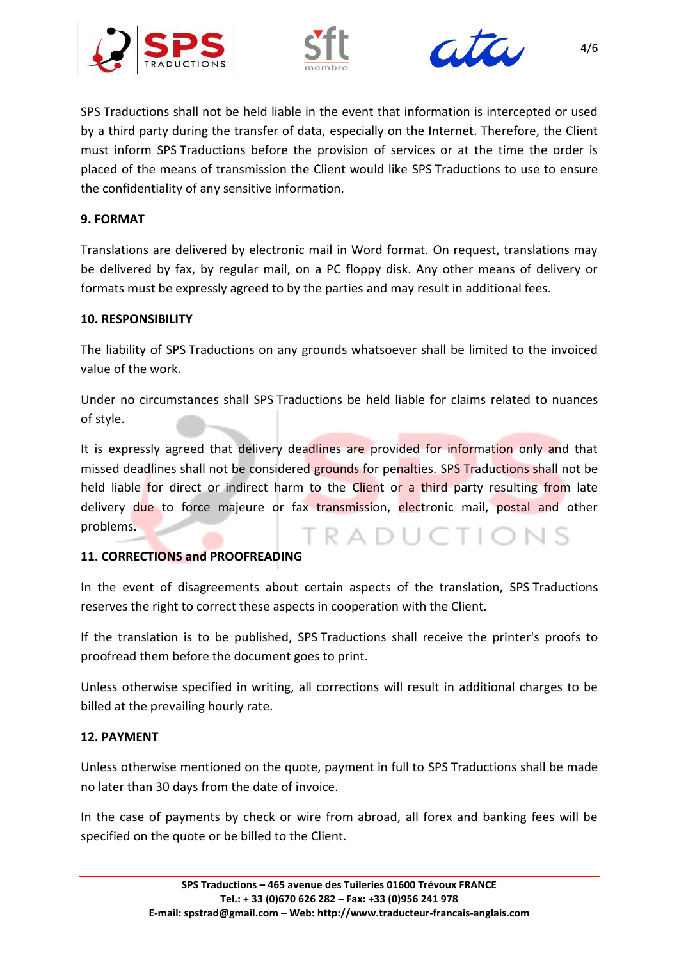





SPS Traductions shall not be held liable in the event that information is intercepted or used by a third party during the transfer of data, especially on the Internet. Therefore, the Client must inform SPS Traductions before the provision of services or at the time the order is placed of the means of transmission the Client would like SPS Traductions to use to ensure the confidentiality of any sensitive information.

### **9. FORMAT**

Translations are delivered by electronic mail in Word format. On request, translations may be delivered by fax, by regular mail, on a PC floppy disk. Any other means of delivery or formats must be expressly agreed to by the parties and may result in additional fees.

### **10. RESPONSIBILITY**

The liability of SPS Traductions on any grounds whatsoever shall be limited to the invoiced value of the work.

Under no circumstances shall SPS Traductions be held liable for claims related to nuances of style.

It is expressly agreed that delivery deadlines are provided for information only and that missed deadlines shall not be considered grounds for penalties. SPS Traductions shall not be held liable for direct or indirect harm to the Client or a third party resulting from late delivery due to force majeure or fax transmission, electronic mail, postal and other problems. TRADUC

## **11. CORRECTIONS and PROOFREADING**

In the event of disagreements about certain aspects of the translation, SPS Traductions reserves the right to correct these aspects in cooperation with the Client.

If the translation is to be published, SPS Traductions shall receive the printer's proofs to proofread them before the document goes to print.

Unless otherwise specified in writing, all corrections will result in additional charges to be billed at the prevailing hourly rate.

## **12. PAYMENT**

Unless otherwise mentioned on the quote, payment in full to SPS Traductions shall be made no later than 30 days from the date of invoice.

In the case of payments by check or wire from abroad, all forex and banking fees will be specified on the quote or be billed to the Client.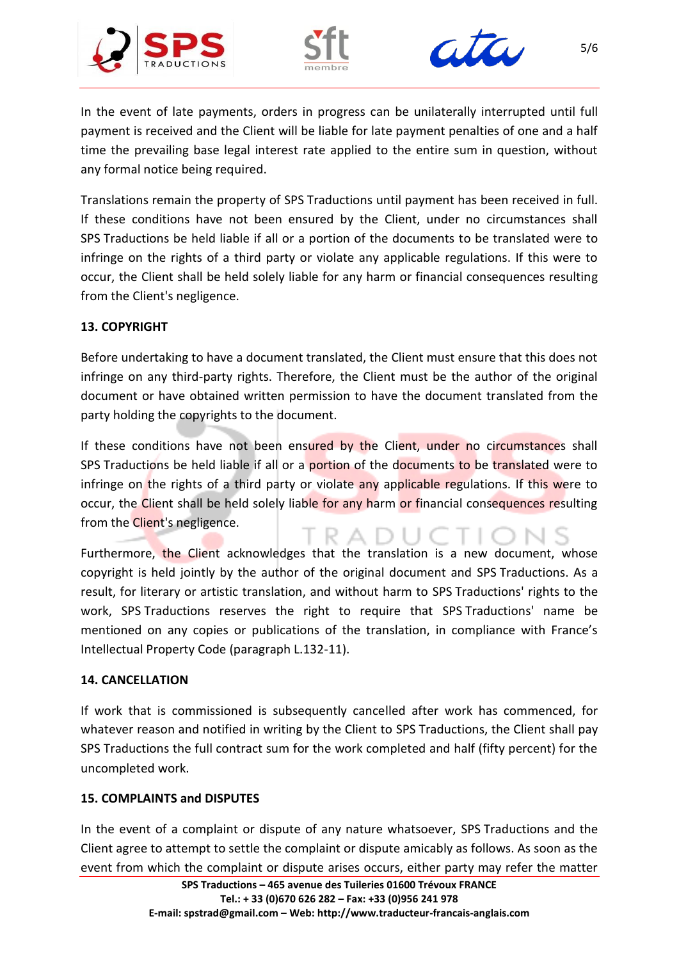





In the event of late payments, orders in progress can be unilaterally interrupted until full payment is received and the Client will be liable for late payment penalties of one and a half time the prevailing base legal interest rate applied to the entire sum in question, without any formal notice being required.

Translations remain the property of SPS Traductions until payment has been received in full. If these conditions have not been ensured by the Client, under no circumstances shall SPS Traductions be held liable if all or a portion of the documents to be translated were to infringe on the rights of a third party or violate any applicable regulations. If this were to occur, the Client shall be held solely liable for any harm or financial consequences resulting from the Client's negligence.

# **13. COPYRIGHT**

Before undertaking to have a document translated, the Client must ensure that this does not infringe on any third-party rights. Therefore, the Client must be the author of the original document or have obtained written permission to have the document translated from the party holding the copyrights to the document.

If these conditions have not been ensured by the Client, under no circumstances shall SPS Traductions be held liable if all or a portion of the documents to be translated were to infringe on the rights of a third party or violate any applicable regulations. If this were to occur, the Client shall be held solely liable for any harm or financial consequences resulting from the Client's negligence.

R A

Furthermore, the Client acknowledges that the translation is a new document, whose copyright is held jointly by the author of the original document and SPS Traductions. As a result, for literary or artistic translation, and without harm to SPS Traductions' rights to the work, SPS Traductions reserves the right to require that SPS Traductions' name be mentioned on any copies or publications of the translation, in compliance with France's Intellectual Property Code (paragraph L.132-11).

## **14. CANCELLATION**

If work that is commissioned is subsequently cancelled after work has commenced, for whatever reason and notified in writing by the Client to SPS Traductions, the Client shall pay SPS Traductions the full contract sum for the work completed and half (fifty percent) for the uncompleted work.

## **15. COMPLAINTS and DISPUTES**

In the event of a complaint or dispute of any nature whatsoever, SPS Traductions and the Client agree to attempt to settle the complaint or dispute amicably as follows. As soon as the event from which the complaint or dispute arises occurs, either party may refer the matter